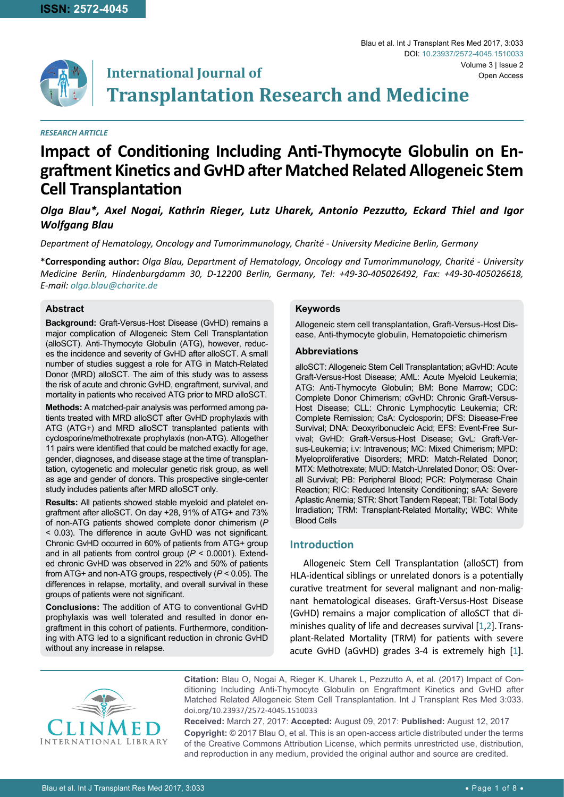

# **International Journal of Transplantation Research and Medicine** Volume 3 | Issue 2

#### *RESEARCH ARTICLE*

# **Impact of Conditioning Including Anti-Thymocyte Globulin on Engraftment Kinetics and GvHD after Matched Related Allogeneic Stem Cell Transplantation**

# *Olga Blau\*, Axel Nogai, Kathrin Rieger, Lutz Uharek, Antonio Pezzutto, Eckard Thiel and Igor Wolfgang Blau*

*Department of Hematology, Oncology and Tumorimmunology, Charité - University Medicine Berlin, Germany*

**\*Corresponding author:** *Olga Blau, Department of Hematology, Oncology and Tumorimmunology, Charité - University Medicine Berlin, Hindenburgdamm 30, D-12200 Berlin, Germany, Tel: +49-30-405026492, Fax: +49-30-405026618, E-mail: olga.blau@charite.de*

## **Abstract**

**Background:** Graft-Versus-Host Disease (GvHD) remains a major complication of Allogeneic Stem Cell Transplantation (alloSCT). Anti-Thymocyte Globulin (ATG), however, reduces the incidence and severity of GvHD after alloSCT. A small number of studies suggest a role for ATG in Match-Related Donor (MRD) alloSCT. The aim of this study was to assess the risk of acute and chronic GvHD, engraftment, survival, and mortality in patients who received ATG prior to MRD alloSCT.

**Methods:** A matched-pair analysis was performed among patients treated with MRD alloSCT after GvHD prophylaxis with ATG (ATG+) and MRD alloSCT transplanted patients with cyclosporine/methotrexate prophylaxis (non-ATG). Altogether 11 pairs were identified that could be matched exactly for age, gender, diagnoses, and disease stage at the time of transplantation, cytogenetic and molecular genetic risk group, as well as age and gender of donors. This prospective single-center study includes patients after MRD alloSCT only.

**Results:** All patients showed stable myeloid and platelet engraftment after alloSCT. On day +28, 91% of ATG+ and 73% of non-ATG patients showed complete donor chimerism (*P* < 0.03). The difference in acute GvHD was not significant. Chronic GvHD occurred in 60% of patients from ATG+ group and in all patients from control group (*P* < 0.0001). Extended chronic GvHD was observed in 22% and 50% of patients from ATG+ and non-ATG groups, respectively (*P* < 0.05). The differences in relapse, mortality, and overall survival in these groups of patients were not significant.

**Conclusions:** The addition of ATG to conventional GvHD prophylaxis was well tolerated and resulted in donor engraftment in this cohort of patients. Furthermore, conditioning with ATG led to a significant reduction in chronic GvHD without any increase in relapse.

### **Keywords**

Allogeneic stem cell transplantation, Graft-Versus-Host Disease, Anti-thymocyte globulin, Hematopoietic chimerism

Blau et al. Int J Transplant Res Med 2017, 3:033

DOI: [10.23937/2572-4045.151003](https://doi.org/10.23937/2572-4045.1510033)3

Open Access

#### **Abbreviations**

alloSCT: Allogeneic Stem Cell Transplantation; aGvHD: Acute Graft-Versus-Host Disease; AML: Acute Myeloid Leukemia; ATG: Anti-Thymocyte Globulin; BM: Bone Marrow; CDC: Complete Donor Chimerism; cGvHD: Chronic Graft-Versus-Host Disease; CLL: Chronic Lymphocytic Leukemia; CR: Complete Remission; CsA: Cyclosporin; DFS: Disease-Free Survival; DNA: Deoxyribonucleic Acid; EFS: Event-Free Survival; GvHD: Graft-Versus-Host Disease; GvL: Graft-Versus-Leukemia; i.v: Intravenous; MC: Mixed Chimerism; MPD: Myeloproliferative Disorders; MRD: Match-Related Donor; MTX: Methotrexate; MUD: Match-Unrelated Donor; OS: Overall Survival; PB: Peripheral Blood; PCR: Polymerase Chain Reaction; RIC: Reduced Intensity Conditioning; sAA: Severe Aplastic Anemia; STR: Short Tandem Repeat; TBI: Total Body Irradiation; TRM: Transplant-Related Mortality; WBC: White Blood Cells

## **Introduction**

Allogeneic Stem Cell Transplantation (alloSCT) from HLA-identical siblings or unrelated donors is a potentially curative treatment for several malignant and non-malignant hematological diseases. Graft-Versus-Host Disease (GvHD) remains a major complication of alloSCT that diminishes quality of life and decreases survival [[1](#page-6-0)[,2\]](#page-6-1).Transplant-Related Mortality (TRM) for patients with severe acute GvHD (aGvHD) grades 3-4 is extremely high [[1\]](#page-6-0).



**Citation:** Blau O, Nogai A, Rieger K, Uharek L, Pezzutto A, et al. (2017) Impact of Conditioning Including Anti-Thymocyte Globulin on Engraftment Kinetics and GvHD after Matched Related Allogeneic Stem Cell Transplantation. Int J Transplant Res Med 3:033. [doi.org/10.23937/2572-4045.15100](https://doi.org/10.23937/2572-4045.1510033)33

**Received:** March 27, 2017: **Accepted:** August 09, 2017: **Published:** August 12, 2017 **Copyright:** © 2017 Blau O, et al. This is an open-access article distributed under the terms of the Creative Commons Attribution License, which permits unrestricted use, distribution, and reproduction in any medium, provided the original author and source are credited.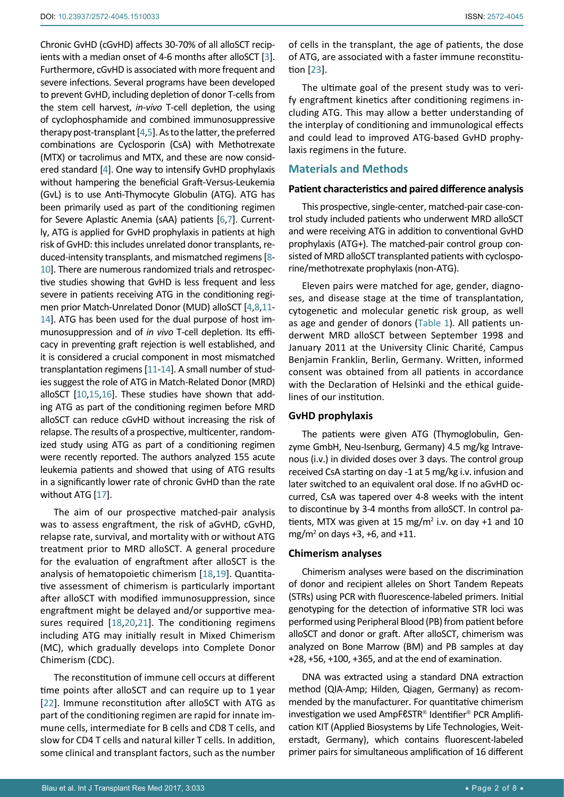Chronic GvHD (cGvHD) affects 30-70% of all alloSCT recip-ients with a median onset of 4-6 months after alloSCT [[3\]](#page-6-2). Furthermore, cGvHD is associated with more frequent and severe infections. Several programs have been developed to prevent GvHD, including depletion of donor T-cells from the stem cell harvest, *in-vivo* T-cell depletion, the using of cyclophosphamide and combined immunosuppressive therapy post-transplant [[4](#page-6-3),[5](#page-6-4)]. As to the latter, the preferred combinations are Cyclosporin (CsA) with Methotrexate (MTX) or tacrolimus and MTX, and these are now considered standard [[4](#page-6-3)]. One way to intensify GvHD prophylaxis without hampering the beneficial Graft-Versus-Leukemia (GvL) is to use Anti-Thymocyte Globulin (ATG). ATG has been primarily used as part of the conditioning regimen for Severe Aplastic Anemia (sAA) patients [\[6](#page-6-5)[,7](#page-6-6)]. Currently, ATG is applied for GvHD prophylaxis in patients at high risk of GvHD: this includes unrelated donor transplants, reduced-intensity transplants, and mismatched regimens [\[8](#page-6-7)- [10](#page-6-8)]. There are numerous randomized trials and retrospective studies showing that GvHD is less frequent and less severe in patients receiving ATG in the conditioning regimen prior Match-Unrelated Donor (MUD) alloSCT [[4](#page-6-3),[8](#page-6-7)[,11](#page-6-9)- [14](#page-6-10)]. ATG has been used for the dual purpose of host immunosuppression and of *in vivo* T-cell depletion. Its efficacy in preventing graft rejection is well established, and it is considered a crucial component in most mismatched transplantation regimens [[11](#page-6-9)[-14](#page-6-10)]. A small number of studies suggest the role of ATG in Match-Related Donor (MRD) alloSCT [[10](#page-6-8)[,15,](#page-6-11)[16\]](#page-6-12). These studies have shown that adding ATG as part of the conditioning regimen before MRD alloSCT can reduce cGvHD without increasing the risk of relapse. The results of a prospective, multicenter, randomized study using ATG as part of a conditioning regimen were recently reported. The authors analyzed 155 acute leukemia patients and showed that using of ATG results in a significantly lower rate of chronic GvHD than the rate without ATG [[17](#page-6-13)].

The aim of our prospective matched-pair analysis was to assess engraftment, the risk of aGvHD, cGvHD, relapse rate, survival, and mortality with or without ATG treatment prior to MRD alloSCT. A general procedure for the evaluation of engraftment after alloSCT is the analysis of hematopoietic chimerism [[18](#page-6-14),[19](#page-6-15)]. Quantitative assessment of chimerism is particularly important after alloSCT with modified immunosuppression, since engraftment might be delayed and/or supportive measures required [[18](#page-6-14)[,20](#page-6-16)[,21](#page-6-17)]. The conditioning regimens including ATG may initially result in Mixed Chimerism (MC), which gradually develops into Complete Donor Chimerism (CDC).

The reconstitution of immune cell occurs at different time points after alloSCT and can require up to 1 year [[22](#page-7-1)]. Immune reconstitution after alloSCT with ATG as part of the conditioning regimen are rapid for innate immune cells, intermediate for B cells and CD8 T cells, and slow for CD4 T cells and natural killer T cells. In addition, some clinical and transplant factors, such as the number of cells in the transplant, the age of patients, the dose of ATG, are associated with a faster immune reconstitution [[23](#page-7-0)].

The ultimate goal of the present study was to verify engraftment kinetics after conditioning regimens including ATG. This may allow a better understanding of the interplay of conditioning and immunological effects and could lead to improved ATG-based GvHD prophylaxis regimens in the future.

## **Materials and Methods**

#### **Patient characteristics and paired difference analysis**

This prospective, single-center, matched-pair case-control study included patients who underwent MRD alloSCT and were receiving ATG in addition to conventional GvHD prophylaxis (ATG+). The matched-pair control group consisted of MRD alloSCT transplanted patients with cyclosporine/methotrexate prophylaxis (non-ATG).

Eleven pairs were matched for age, gender, diagnoses, and disease stage at the time of transplantation, cytogenetic and molecular genetic risk group, as well as age and gender of donors (Table 1). All patients underwent MRD alloSCT between September 1998 and January 2011 at the University Clinic Charité, Campus Benjamin Franklin, Berlin, Germany. Written, informed consent was obtained from all patients in accordance with the Declaration of Helsinki and the ethical guidelines of our institution.

#### **GvHD prophylaxis**

The patients were given ATG (Thymoglobulin, Genzyme GmbH, Neu-Isenburg, Germany) 4.5 mg/kg Intravenous (i.v.) in divided doses over 3 days. The control group received CsA starting on day -1 at 5 mg/kg i.v. infusion and later switched to an equivalent oral dose. If no aGvHD occurred, CsA was tapered over 4-8 weeks with the intent to discontinue by 3-4 months from alloSCT. In control patients, MTX was given at 15 mg/ $m<sup>2</sup>$  i.v. on day +1 and 10  $mg/m^2$  on days +3, +6, and +11.

#### **Chimerism analyses**

Chimerism analyses were based on the discrimination of donor and recipient alleles on Short Tandem Repeats (STRs) using PCR with fluorescence-labeled primers. Initial genotyping for the detection of informative STR loci was performed using Peripheral Blood (PB) from patient before alloSCT and donor or graft. After alloSCT, chimerism was analyzed on Bone Marrow (BM) and PB samples at day +28, +56, +100, +365, and at the end of examination.

DNA was extracted using a standard DNA extraction method (QIA-Amp; Hilden, Qiagen, Germany) as recommended by the manufacturer. For quantitative chimerism investigation we used AmpFeSTR<sup>®</sup> Identifier<sup>®</sup> PCR Amplification KIT (Applied Biosystems by Life Technologies, Weiterstadt, Germany), which contains fluorescent-labeled primer pairs for simultaneous amplification of 16 different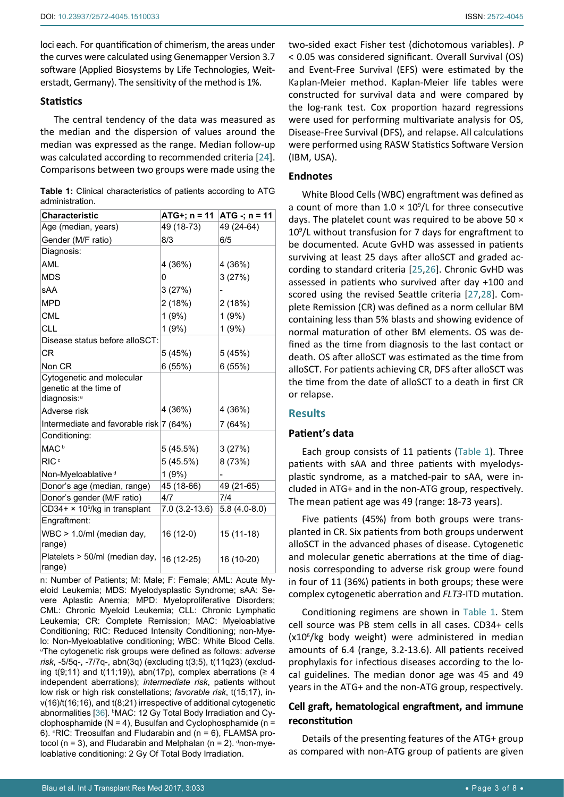loci each. For quantification of chimerism, the areas under the curves were calculated using Genemapper Version 3.7 software (Applied Biosystems by Life Technologies, Weiterstadt, Germany). The sensitivity of the method is 1%.

## **Statistics**

The central tendency of the data was measured as the median and the dispersion of values around the median was expressed as the range. Median follow-up was calculated according to recommended criteria [[24](#page-7-6)]. Comparisons between two groups were made using the

|                 | <b>Table 1:</b> Clinical characteristics of patients according to ATG |  |  |
|-----------------|-----------------------------------------------------------------------|--|--|
| administration. |                                                                       |  |  |

| <b>Characteristic</b>                               | $ATG+; n = 11$ | $ATG -; n = 11$ |
|-----------------------------------------------------|----------------|-----------------|
| Age (median, years)                                 | 49 (18-73)     | 49 (24-64)      |
| Gender (M/F ratio)                                  | 8/3            | 6/5             |
| Diagnosis:                                          |                |                 |
| AML                                                 | 4 (36%)        | 4 (36%)         |
| MDS                                                 | 0              | 3(27%)          |
| sAA                                                 | 3(27%)         |                 |
| <b>MPD</b>                                          | 2 (18%)        | 2(18%)          |
| <b>CML</b>                                          | 1(9%)          | 1(9%)           |
| CLL                                                 | 1(9%)          | 1(9%)           |
| Disease status before alloSCT:                      |                |                 |
| СR                                                  | 5 (45%)        | 5(45%)          |
| Non CR                                              | 6(55%)         | 6(55%)          |
| Cytogenetic and molecular<br>genetic at the time of |                |                 |
| diagnosis: <sup>a</sup>                             |                |                 |
| Adverse risk                                        | 4 (36%)        | 4 (36%)         |
| Intermediate and favorable risk 7 (64%)             |                | 7 (64%)         |
| Conditioning:                                       |                |                 |
| MAC <sup>b</sup>                                    | 5(45.5%)       | 3(27%)          |
| RIC <sup>c</sup>                                    | 5(45.5%)       | 8 (73%)         |
| Non-Myeloablative <sup>d</sup>                      | 1(9%)          |                 |
| Donor's age (median, range)                         | 45 (18-66)     | 49 (21-65)      |
| Donor's gender (M/F ratio)                          | 4/7            | 7/4             |
| $CD34+ × 106/kg$ in transplant                      | 7.0 (3.2-13.6) | $5.8(4.0-8.0)$  |
| Engraftment:                                        |                |                 |
| WBC > 1.0/ml (median day,<br>range)                 | 16 (12-0)      | 15 (11-18)      |
| Platelets > 50/ml (median day,<br>range)            | 16 (12-25)     | 16 (10-20)      |

n: Number of Patients; M: Male; F: Female; AML: Acute Myeloid Leukemia; MDS: Myelodysplastic Syndrome; sAA: Severe Aplastic Anemia; MPD: Myeloproliferative Disorders; CML: Chronic Myeloid Leukemia; CLL: Chronic Lymphatic Leukemia; CR: Complete Remission; MAC: Myeloablative Conditioning; RIC: Reduced Intensity Conditioning; non-Myelo: Non-Myeloablative conditioning; WBC: White Blood Cells. a The cytogenetic risk groups were defined as follows: *adverse risk*, -5/5q-, -7/7q-, abn(3q) (excluding t(3;5), t(11q23) (excluding  $t(9;11)$  and  $t(11;19)$ , abn(17p), complex aberrations ( $\geq 4$ independent aberrations); *intermediate risk*, patients without low risk or high risk constellations; *favorable risk*, t(15;17), inv(16)/t(16;16), and t(8;21) irrespective of additional cytogenetic abnormalities [[36\]](#page-7-7). <sup>b</sup>MAC: 12 Gy Total Body Irradiation and Cyclophosphamide ( $N = 4$ ), Busulfan and Cyclophosphamide ( $n =$ 6). °RIC: Treosulfan and Fludarabin and (n = 6), FLAMSA protocol (n = 3), and Fludarabin and Melphalan (n = 2). dnon-myeloablative conditioning: 2 Gy Of Total Body Irradiation.

two-sided exact Fisher test (dichotomous variables). *P* < 0.05 was considered significant. Overall Survival (OS) and Event-Free Survival (EFS) were estimated by the Kaplan-Meier method. Kaplan-Meier life tables were constructed for survival data and were compared by the log-rank test. Cox proportion hazard regressions were used for performing multivariate analysis for OS, Disease-Free Survival (DFS), and relapse. All calculations were performed using RASW Statistics Software Version (IBM, USA).

## **Endnotes**

White Blood Cells (WBC) engraftment was defined as a count of more than  $1.0 \times 10^9$ /L for three consecutive days. The platelet count was required to be above 50  $\times$ 10<sup>9</sup>/L without transfusion for 7 days for engraftment to be documented. Acute GvHD was assessed in patients surviving at least 25 days after alloSCT and graded according to standard criteria [[25](#page-7-2),[26](#page-7-3)]. Chronic GvHD was assessed in patients who survived after day +100 and scored using the revised Seattle criteria [[27](#page-7-4),[28](#page-7-5)]. Complete Remission (CR) was defined as a norm cellular BM containing less than 5% blasts and showing evidence of normal maturation of other BM elements. OS was defined as the time from diagnosis to the last contact or death. OS after alloSCT was estimated as the time from alloSCT. For patients achieving CR, DFS after alloSCT was the time from the date of alloSCT to a death in first CR or relapse.

## **Results**

## **Patient's data**

Each group consists of 11 patients (Table 1). Three patients with sAA and three patients with myelodysplastic syndrome, as a matched-pair to sAA, were included in ATG+ and in the non-ATG group, respectively. The mean patient age was 49 (range: 18-73 years).

Five patients (45%) from both groups were transplanted in CR. Six patients from both groups underwent alloSCT in the advanced phases of disease. Cytogenetic and molecular genetic aberrations at the time of diagnosis corresponding to adverse risk group were found in four of 11 (36%) patients in both groups; these were complex cytogenetic aberration and *FLT3*-ITD mutation.

Conditioning regimens are shown in Table 1. Stem cell source was PB stem cells in all cases. CD34+ cells (x10<sup>6</sup>/kg body weight) were administered in median amounts of 6.4 (range, 3.2-13.6). All patients received prophylaxis for infectious diseases according to the local guidelines. The median donor age was 45 and 49 years in the ATG+ and the non-ATG group, respectively.

# **Cell graft, hematological engraftment, and immune reconstitution**

Details of the presenting features of the ATG+ group as compared with non-ATG group of patients are given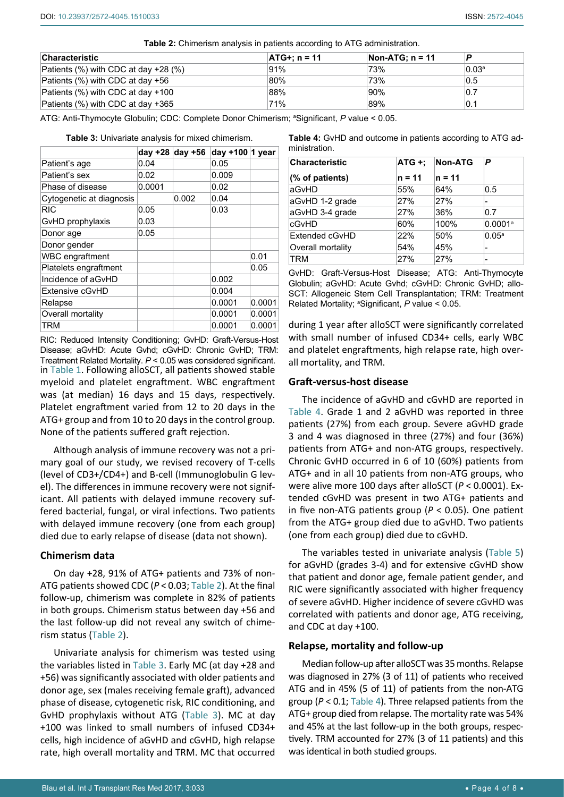**Table 2:** Chimerism analysis in patients according to ATG administration.

| <b>Characteristic</b>                        | $ATG+: n = 11$ | Non-ATG: $n = 11$ | P                 |
|----------------------------------------------|----------------|-------------------|-------------------|
| Patients $(\%)$ with CDC at day $+28$ $(\%)$ | $91\%$         | 73%               | 0.03 <sup>a</sup> |
| Patients (%) with CDC at day +56             | 80%            | 73%               | 0.5               |
| Patients (%) with CDC at day +100            | 88%            | 90%               | 0.7               |
| Patients (%) with CDC at day +365            | 71%            | 89%               | 0.1               |

ATG: Anti-Thymocyte Globulin; CDC: Complete Donor Chimerism; a Significant, *P* value < 0.05.

|                          |        | day $+28$ day $+56$ | day $+100$ 1 year |        |
|--------------------------|--------|---------------------|-------------------|--------|
| Patient's age            | 0.04   |                     | 0.05              |        |
| Patient's sex            | 0.02   |                     | 0.009             |        |
| Phase of disease         | 0.0001 |                     | 0.02              |        |
| Cytogenetic at diagnosis |        | 0.002               | 0.04              |        |
| <b>RIC</b>               | 0.05   |                     | 0.03              |        |
| GvHD prophylaxis         | 0.03   |                     |                   |        |
| Donor age                | 0.05   |                     |                   |        |
| Donor gender             |        |                     |                   |        |
| <b>WBC</b> engraftment   |        |                     |                   | 0.01   |
| Platelets engraftment    |        |                     |                   | 0.05   |
| Incidence of aGvHD       |        |                     | 0.002             |        |
| Extensive cGvHD          |        |                     | 0.004             |        |
| Relapse                  |        |                     | 0.0001            | 0.0001 |
| Overall mortality        |        |                     | 0.0001            | 0.0001 |
| TRM                      |        |                     | 0.0001            | 0.0001 |

**Table 3:** Univariate analysis for mixed chimerism.

in Table 1. Following alloSCT, all patients showed stable myeloid and platelet engraftment. WBC engraftment was (at median) 16 days and 15 days, respectively. Platelet engraftment varied from 12 to 20 days in the ATG+ group and from 10 to 20 days in the control group. None of the patients suffered graft rejection. RIC: Reduced Intensity Conditioning; GvHD: Graft-Versus-Host Disease; aGvHD: Acute Gvhd; cGvHD: Chronic GvHD; TRM: Treatment Related Mortality. *P* < 0.05 was considered significant.

Although analysis of immune recovery was not a primary goal of our study, we revised recovery of T-cells (level of CD3+/CD4+) and B-cell (Immunoglobulin G level). The differences in immune recovery were not significant. All patients with delayed immune recovery suffered bacterial, fungal, or viral infections. Two patients with delayed immune recovery (one from each group) died due to early relapse of disease (data not shown).

## **Chimerism data**

On day +28, 91% of ATG+ patients and 73% of non-ATG patients showed CDC (*P* < 0.03; Table 2). At the final follow-up, chimerism was complete in 82% of patients in both groups. Chimerism status between day +56 and the last follow-up did not reveal any switch of chimerism status (Table 2).

Univariate analysis for chimerism was tested using the variables listed in Table 3. Early MC (at day +28 and +56) was significantly associated with older patients and donor age, sex (males receiving female graft), advanced phase of disease, cytogenetic risk, RIC conditioning, and GvHD prophylaxis without ATG (Table 3). MC at day +100 was linked to small numbers of infused CD34+ cells, high incidence of aGvHD and cGvHD, high relapse rate, high overall mortality and TRM. MC that occurred **Table 4:** GvHD and outcome in patients according to ATG administration.

| <b>Characteristic</b> | $ATG +$ | <b>Non-ATG</b> | P                     |
|-----------------------|---------|----------------|-----------------------|
| (% of patients)       | n = 11  | $n = 11$       |                       |
| aGvHD                 | 55%     | 64%            | 0.5                   |
| aGvHD 1-2 grade       | 27%     | 27%            | -                     |
| aGvHD 3-4 grade       | 27%     | 36%            | 0.7                   |
| cGvHD                 | 60%     | 100%           | $0.0001$ <sup>a</sup> |
| Extended cGvHD        | 22%     | 50%            | 0.05 <sup>a</sup>     |
| Overall mortality     | 54%     | 45%            | -                     |
| TRM                   | 27%     | 27%            | -                     |

GvHD: Graft-Versus-Host Disease; ATG: Anti-Thymocyte Globulin; aGvHD: Acute Gvhd; cGvHD: Chronic GvHD; allo-SCT: Allogeneic Stem Cell Transplantation; TRM: Treatment Related Mortality; <sup>a</sup>Significant, P value < 0.05.

during 1 year after alloSCT were significantly correlated with small number of infused CD34+ cells, early WBC and platelet engraftments, high relapse rate, high overall mortality, and TRM.

## **Graft-versus-host disease**

The incidence of aGvHD and cGvHD are reported in Table 4. Grade 1 and 2 aGvHD was reported in three patients (27%) from each group. Severe aGvHD grade 3 and 4 was diagnosed in three (27%) and four (36%) patients from ATG+ and non-ATG groups, respectively. Chronic GvHD occurred in 6 of 10 (60%) patients from ATG+ and in all 10 patients from non-ATG groups, who were alive more 100 days after alloSCT (*P* < 0.0001). Extended cGvHD was present in two ATG+ patients and in five non-ATG patients group (*P* < 0.05). One patient from the ATG+ group died due to aGvHD. Two patients (one from each group) died due to cGvHD.

The variables tested in univariate analysis (Table 5) for aGvHD (grades 3-4) and for extensive cGvHD show that patient and donor age, female patient gender, and RIC were significantly associated with higher frequency of severe aGvHD. Higher incidence of severe cGvHD was correlated with patients and donor age, ATG receiving, and CDC at day +100.

## **Relapse, mortality and follow-up**

Median follow-up after alloSCT was 35 months. Relapse was diagnosed in 27% (3 of 11) of patients who received ATG and in 45% (5 of 11) of patients from the non-ATG group ( $P < 0.1$ ; Table 4). Three relapsed patients from the ATG+ group died from relapse. The mortality rate was 54% and 45% at the last follow-up in the both groups, respectively. TRM accounted for 27% (3 of 11 patients) and this was identical in both studied groups.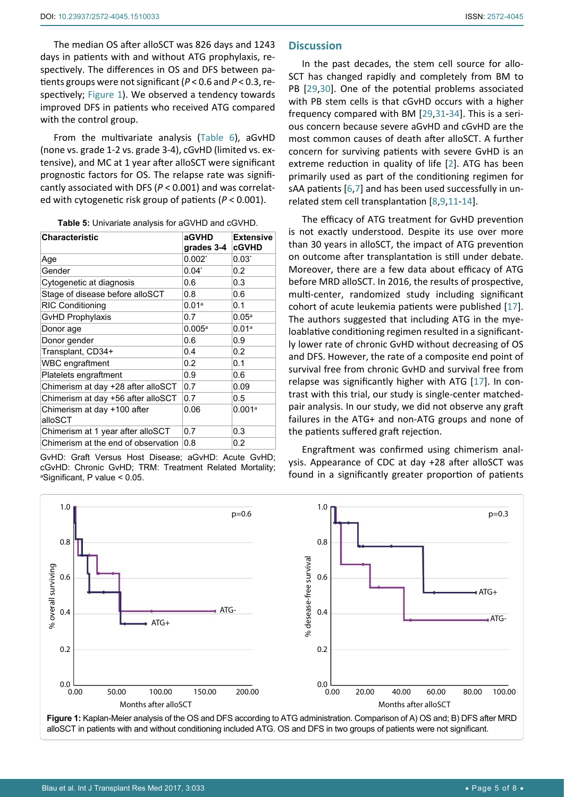The median OS after alloSCT was 826 days and 1243 days in patients with and without ATG prophylaxis, respectively. The differences in OS and DFS between patients groups were not significant (*P* < 0.6 and *P* < 0.3, respectively; [Figure 1](#page-4-0)). We observed a tendency towards improved DFS in patients who received ATG compared with the control group.

From the multivariate analysis (Table 6), aGvHD (none vs. grade 1-2 vs. grade 3-4), cGvHD (limited vs. extensive), and MC at 1 year after alloSCT were significant prognostic factors for OS. The relapse rate was significantly associated with DFS (*P* < 0.001) and was correlated with cytogenetic risk group of patients (*P* < 0.001).

| Table 5: Univariate analysis for aGVHD and cGVHD. |  |
|---------------------------------------------------|--|
|---------------------------------------------------|--|

| <b>Characteristic</b>                  | aGVHD<br>grades 3-4 | <b>Extensive</b><br><b>cGVHD</b> |
|----------------------------------------|---------------------|----------------------------------|
| Age                                    | $0.002^*$           | $0.03^*$                         |
| Gender                                 | $0.04^*$            | 0.2                              |
| Cytogenetic at diagnosis               | 0.6                 | 0.3                              |
| Stage of disease before alloSCT        | 0.8                 | 0.6                              |
| <b>RIC Conditioning</b>                | 0.01 <sup>a</sup>   | 0.1                              |
| <b>GvHD Prophylaxis</b>                | 0.7                 | 0.05 <sup>a</sup>                |
| Donor age                              | $0.005^{\circ}$     | 0.01 <sup>a</sup>                |
| Donor gender                           | 0.6                 | 0.9                              |
| Transplant, CD34+                      | 0.4                 | 0.2                              |
| <b>WBC</b> engraftment                 | 0.2                 | 0.1                              |
| Platelets engraftment                  | 0.9                 | 0.6                              |
| Chimerism at day +28 after alloSCT     | 0.7                 | 0.09                             |
| Chimerism at day +56 after alloSCT     | 0.7                 | 0.5                              |
| Chimerism at day +100 after<br>alloSCT | 0.06                | 0.001a                           |
| Chimerism at 1 year after alloSCT      | 0.7                 | 0.3                              |
| Chimerism at the end of observation    | 0.8                 | 0.2                              |

GvHD: Graft Versus Host Disease; aGvHD: Acute GvHD; cGvHD: Chronic GvHD; TRM: Treatment Related Mortality; a Significant, P value < 0.05.

## **Discussion**

In the past decades, the stem cell source for allo-SCT has changed rapidly and completely from BM to PB [[29](#page-7-8),[30](#page-7-9)]. One of the potential problems associated with PB stem cells is that cGvHD occurs with a higher frequency compared with BM [[29,](#page-7-8)[31-](#page-7-10)[34](#page-7-11)]. This is a serious concern because severe aGvHD and cGvHD are the most common causes of death after alloSCT. A further concern for surviving patients with severe GvHD is an extreme reduction in quality of life [[2](#page-6-1)]. ATG has been primarily used as part of the conditioning regimen for sAA patients [\[6](#page-6-5),[7](#page-6-6)] and has been used successfully in unrelated stem cell transplantation [\[8](#page-6-7),[9](#page-6-18)[,11](#page-6-9)-[14\]](#page-6-10).

The efficacy of ATG treatment for GvHD prevention is not exactly understood. Despite its use over more than 30 years in alloSCT, the impact of ATG prevention on outcome after transplantation is still under debate. Moreover, there are a few data about efficacy of ATG before MRD alloSCT. In 2016, the results of prospective, multi-center, randomized study including significant cohort of acute leukemia patients were published [[17\]](#page-6-13). The authors suggested that including ATG in the myeloablative conditioning regimen resulted in a significantly lower rate of chronic GvHD without decreasing of OS and DFS. However, the rate of a composite end point of survival free from chronic GvHD and survival free from relapse was significantly higher with ATG [[17](#page-6-13)]. In contrast with this trial, our study is single-center matchedpair analysis. In our study, we did not observe any graft failures in the ATG+ and non-ATG groups and none of the patients suffered graft rejection.

Engraftment was confirmed using chimerism analysis. Appearance of CDC at day +28 after alloSCT was found in a significantly greater proportion of patients

<span id="page-4-0"></span>

alloSCT in patients with and without conditioning included ATG. OS and DFS in two groups of patients were not significant.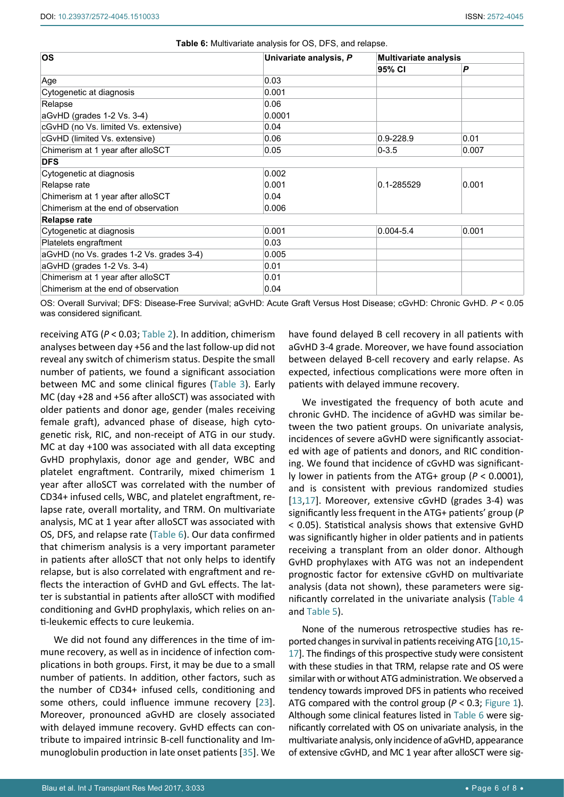| <b>OS</b>                                | Univariate analysis, P | <b>Multivariate analysis</b> |       |  |
|------------------------------------------|------------------------|------------------------------|-------|--|
|                                          |                        | 95% CI                       | P     |  |
| Age                                      | 0.03                   |                              |       |  |
| Cytogenetic at diagnosis                 | 0.001                  |                              |       |  |
| Relapse                                  | 0.06                   |                              |       |  |
| aGvHD (grades 1-2 Vs. 3-4)               | 0.0001                 |                              |       |  |
| cGvHD (no Vs. limited Vs. extensive)     | 0.04                   |                              |       |  |
| cGvHD (limited Vs. extensive)            | 0.06                   | 0.9-228.9                    | 0.01  |  |
| Chimerism at 1 year after alloSCT        | 0.05                   | $0 - 3.5$                    | 0.007 |  |
| <b>DFS</b>                               |                        |                              |       |  |
| Cytogenetic at diagnosis                 | 0.002                  |                              |       |  |
| Relapse rate                             | 0.001                  | $0.1 - 285529$               | 0.001 |  |
| Chimerism at 1 year after alloSCT        | 0.04                   |                              |       |  |
| Chimerism at the end of observation      | 0.006                  |                              |       |  |
| <b>Relapse rate</b>                      |                        |                              |       |  |
| Cytogenetic at diagnosis                 | 0.001                  | $0.004 - 5.4$                | 0.001 |  |
| Platelets engraftment                    | 0.03                   |                              |       |  |
| aGvHD (no Vs. grades 1-2 Vs. grades 3-4) | 0.005                  |                              |       |  |
| aGvHD (grades 1-2 Vs. 3-4)               | 0.01                   |                              |       |  |
| Chimerism at 1 year after alloSCT        | 0.01                   |                              |       |  |
| Chimerism at the end of observation      | 0.04                   |                              |       |  |

**Table 6:** Multivariate analysis for OS, DFS, and relapse.

OS: Overall Survival; DFS: Disease-Free Survival; aGvHD: Acute Graft Versus Host Disease; cGvHD: Chronic GvHD. *P* < 0.05 was considered significant.

receiving ATG (*P* < 0.03; Table 2). In addition, chimerism analyses between day +56 and the last follow-up did not reveal any switch of chimerism status. Despite the small number of patients, we found a significant association between MC and some clinical figures (Table 3). Early MC (day +28 and +56 after alloSCT) was associated with older patients and donor age, gender (males receiving female graft), advanced phase of disease, high cytogenetic risk, RIC, and non-receipt of ATG in our study. MC at day +100 was associated with all data excepting GvHD prophylaxis, donor age and gender, WBC and platelet engraftment. Contrarily, mixed chimerism 1 year after alloSCT was correlated with the number of CD34+ infused cells, WBC, and platelet engraftment, relapse rate, overall mortality, and TRM. On multivariate analysis, MC at 1 year after alloSCT was associated with OS, DFS, and relapse rate (Table 6). Our data confirmed that chimerism analysis is a very important parameter in patients after alloSCT that not only helps to identify relapse, but is also correlated with engraftment and reflects the interaction of GvHD and GvL effects. The latter is substantial in patients after alloSCT with modified conditioning and GvHD prophylaxis, which relies on anti-leukemic effects to cure leukemia.

We did not found any differences in the time of immune recovery, as well as in incidence of infection complications in both groups. First, it may be due to a small number of patients. In addition, other factors, such as the number of CD34+ infused cells, conditioning and some others, could influence immune recovery [[23](#page-7-0)]. Moreover, pronounced aGvHD are closely associated with delayed immune recovery. GvHD effects can contribute to impaired intrinsic B-cell functionality and Immunoglobulin production in late onset patients [[35](#page-7-12)]. We

have found delayed B cell recovery in all patients with aGvHD 3-4 grade. Moreover, we have found association between delayed B-cell recovery and early relapse. As expected, infectious complications were more often in patients with delayed immune recovery.

We investigated the frequency of both acute and chronic GvHD. The incidence of aGvHD was similar between the two patient groups. On univariate analysis, incidences of severe aGvHD were significantly associated with age of patients and donors, and RIC conditioning. We found that incidence of cGvHD was significantly lower in patients from the ATG+ group (*P* < 0.0001), and is consistent with previous randomized studies [[13](#page-6-19)[,17](#page-6-13)]. Moreover, extensive cGvHD (grades 3-4) was significantly less frequent in the ATG+ patients' group (*P* < 0.05). Statistical analysis shows that extensive GvHD was significantly higher in older patients and in patients receiving a transplant from an older donor. Although GvHD prophylaxes with ATG was not an independent prognostic factor for extensive cGvHD on multivariate analysis (data not shown), these parameters were significantly correlated in the univariate analysis (Table 4 and Table 5).

None of the numerous retrospective studies has reported changes in survival in patients receiving ATG [[10](#page-6-8),[15](#page-6-11)- [17](#page-6-13)]. The findings of this prospective study were consistent with these studies in that TRM, relapse rate and OS were similar with or without ATG administration. We observed a tendency towards improved DFS in patients who received ATG compared with the control group (*P* < 0.3; [Figure 1\)](#page-4-0). Although some clinical features listed in Table 6 were significantly correlated with OS on univariate analysis, in the multivariate analysis, only incidence of aGvHD, appearance of extensive cGvHD, and MC 1 year after alloSCT were sig-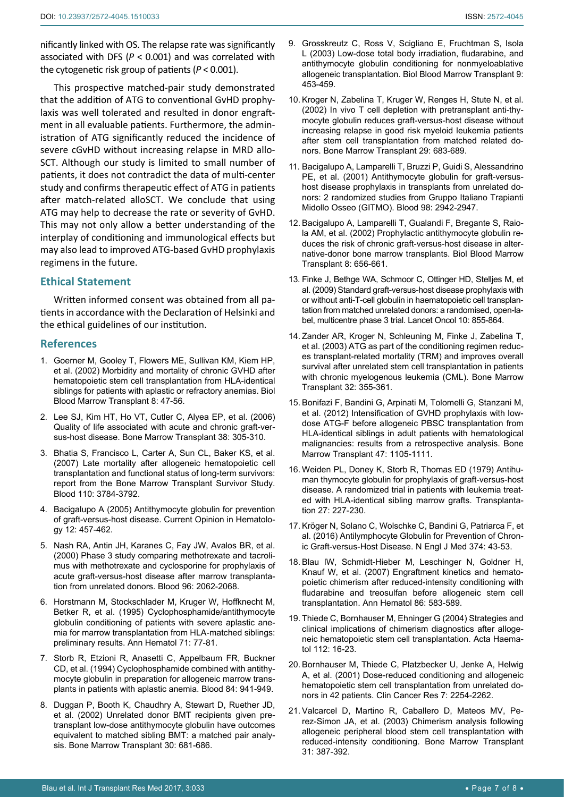nificantly linked with OS. The relapse rate was significantly associated with DFS (*P* < 0.001) and was correlated with the cytogenetic risk group of patients (*P* < 0.001).

This prospective matched-pair study demonstrated that the addition of ATG to conventional GvHD prophylaxis was well tolerated and resulted in donor engraftment in all evaluable patients. Furthermore, the administration of ATG significantly reduced the incidence of severe cGvHD without increasing relapse in MRD allo-SCT. Although our study is limited to small number of patients, it does not contradict the data of multi-center study and confirms therapeutic effect of ATG in patients after match-related alloSCT. We conclude that using ATG may help to decrease the rate or severity of GvHD. This may not only allow a better understanding of the interplay of conditioning and immunological effects but may also lead to improved ATG-based GvHD prophylaxis regimens in the future.

## **Ethical Statement**

Written informed consent was obtained from all patients in accordance with the Declaration of Helsinki and the ethical guidelines of our institution.

## **References**

- <span id="page-6-0"></span>1. [Goerner M, Gooley T, Flowers ME, Sullivan KM, Kiem HP,](https://www.ncbi.nlm.nih.gov/pubmed/11858190)  [et al. \(2002\) Morbidity and mortality of chronic GVHD after](https://www.ncbi.nlm.nih.gov/pubmed/11858190)  [hematopoietic stem cell transplantation from HLA-identical](https://www.ncbi.nlm.nih.gov/pubmed/11858190)  [siblings for patients with aplastic or refractory anemias. Biol](https://www.ncbi.nlm.nih.gov/pubmed/11858190)  [Blood Marrow Transplant 8: 47-56.](https://www.ncbi.nlm.nih.gov/pubmed/11858190)
- <span id="page-6-1"></span>2. [Lee SJ, Kim HT, Ho VT, Cutler C, Alyea EP, et al. \(2006\)](https://www.ncbi.nlm.nih.gov/pubmed/16819438)  [Quality of life associated with acute and chronic graft-ver](https://www.ncbi.nlm.nih.gov/pubmed/16819438)[sus-host disease. Bone Marrow Transplant 38: 305-310.](https://www.ncbi.nlm.nih.gov/pubmed/16819438)
- <span id="page-6-2"></span>3. [Bhatia S, Francisco L, Carter A, Sun CL, Baker KS, et al.](https://www.ncbi.nlm.nih.gov/pubmed/17671231)  [\(2007\) Late mortality after allogeneic hematopoietic cell](https://www.ncbi.nlm.nih.gov/pubmed/17671231)  [transplantation and functional status of long-term survivors:](https://www.ncbi.nlm.nih.gov/pubmed/17671231)  [report from the Bone Marrow Transplant Survivor Study.](https://www.ncbi.nlm.nih.gov/pubmed/17671231)  [Blood 110: 3784-3792.](https://www.ncbi.nlm.nih.gov/pubmed/17671231)
- <span id="page-6-3"></span>4. [Bacigalupo A \(2005\) Antithymocyte globulin for prevention](http://journals.lww.com/co-hematology/Abstract/2005/11000/Antithymocyte_globulin_for_prevention_of.5.aspx)  [of graft-versus-host disease. Current Opinion in Hematolo](http://journals.lww.com/co-hematology/Abstract/2005/11000/Antithymocyte_globulin_for_prevention_of.5.aspx)[gy 12: 457-462.](http://journals.lww.com/co-hematology/Abstract/2005/11000/Antithymocyte_globulin_for_prevention_of.5.aspx)
- <span id="page-6-4"></span>5. [Nash RA, Antin JH, Karanes C, Fay JW, Avalos BR, et al.](https://www.ncbi.nlm.nih.gov/pubmed/10979948)  [\(2000\) Phase 3 study comparing methotrexate and tacroli](https://www.ncbi.nlm.nih.gov/pubmed/10979948)[mus with methotrexate and cyclosporine for prophylaxis of](https://www.ncbi.nlm.nih.gov/pubmed/10979948)  [acute graft-versus-host disease after marrow transplanta](https://www.ncbi.nlm.nih.gov/pubmed/10979948)[tion from unrelated donors. Blood 96: 2062-2068.](https://www.ncbi.nlm.nih.gov/pubmed/10979948)
- <span id="page-6-5"></span>6. [Horstmann M, Stockschlader M, Kruger W, Hoffknecht M,](https://www.ncbi.nlm.nih.gov/pubmed/7654856)  [Betker R, et al. \(1995\) Cyclophosphamide/antithymocyte](https://www.ncbi.nlm.nih.gov/pubmed/7654856)  [globulin conditioning of patients with severe aplastic ane](https://www.ncbi.nlm.nih.gov/pubmed/7654856)[mia for marrow transplantation from HLA-matched siblings:](https://www.ncbi.nlm.nih.gov/pubmed/7654856)  [preliminary results. Ann Hematol 71: 77-81.](https://www.ncbi.nlm.nih.gov/pubmed/7654856)
- <span id="page-6-6"></span>7. [Storb R, Etzioni R, Anasetti C, Appelbaum FR, Buckner](https://www.ncbi.nlm.nih.gov/pubmed/8043876)  [CD, et al. \(1994\) Cyclophosphamide combined with antithy](https://www.ncbi.nlm.nih.gov/pubmed/8043876)[mocyte globulin in preparation for allogeneic marrow trans](https://www.ncbi.nlm.nih.gov/pubmed/8043876)[plants in patients with aplastic anemia. Blood 84: 941-949.](https://www.ncbi.nlm.nih.gov/pubmed/8043876)
- <span id="page-6-7"></span>8. [Duggan P, Booth K, Chaudhry A, Stewart D, Ruether JD,](https://www.ncbi.nlm.nih.gov/pubmed/12420207)  [et al. \(2002\) Unrelated donor BMT recipients given pre](https://www.ncbi.nlm.nih.gov/pubmed/12420207)[transplant low-dose antithymocyte globulin have outcomes](https://www.ncbi.nlm.nih.gov/pubmed/12420207)  [equivalent to matched sibling BMT: a matched pair analy](https://www.ncbi.nlm.nih.gov/pubmed/12420207)[sis. Bone Marrow Transplant 30: 681-686.](https://www.ncbi.nlm.nih.gov/pubmed/12420207)
- <span id="page-6-18"></span>9. [Grosskreutz C, Ross V, Scigliano E, Fruchtman S, Isola](https://www.ncbi.nlm.nih.gov/pubmed/12869959)  [L \(2003\) Low-dose total body irradiation, fludarabine, and](https://www.ncbi.nlm.nih.gov/pubmed/12869959)  [antithymocyte globulin conditioning for nonmyeloablative](https://www.ncbi.nlm.nih.gov/pubmed/12869959)  [allogeneic transplantation. Biol Blood Marrow Transplant 9:](https://www.ncbi.nlm.nih.gov/pubmed/12869959)  [453-459.](https://www.ncbi.nlm.nih.gov/pubmed/12869959)
- <span id="page-6-8"></span>10. [Kroger N, Zabelina T, Kruger W, Renges H, Stute N, et al.](https://www.ncbi.nlm.nih.gov/pubmed/12180114)  [\(2002\) In vivo T cell depletion with pretransplant anti-thy](https://www.ncbi.nlm.nih.gov/pubmed/12180114)[mocyte globulin reduces graft-versus-host disease without](https://www.ncbi.nlm.nih.gov/pubmed/12180114)  [increasing relapse in good risk myeloid leukemia patients](https://www.ncbi.nlm.nih.gov/pubmed/12180114)  [after stem cell transplantation from matched related do](https://www.ncbi.nlm.nih.gov/pubmed/12180114)[nors. Bone Marrow Transplant 29: 683-689.](https://www.ncbi.nlm.nih.gov/pubmed/12180114)
- <span id="page-6-9"></span>11. [Bacigalupo A, Lamparelli T, Bruzzi P, Guidi S, Alessandrino](https://www.ncbi.nlm.nih.gov/pubmed/11698275)  [PE, et al. \(2001\) Antithymocyte globulin for graft-versus](https://www.ncbi.nlm.nih.gov/pubmed/11698275)[host disease prophylaxis in transplants from unrelated do](https://www.ncbi.nlm.nih.gov/pubmed/11698275)[nors: 2 randomized studies from Gruppo Italiano Trapianti](https://www.ncbi.nlm.nih.gov/pubmed/11698275)  [Midollo Osseo \(GITMO\). Blood 98: 2942-2947.](https://www.ncbi.nlm.nih.gov/pubmed/11698275)
- 12. [Bacigalupo A, Lamparelli T, Gualandi F, Bregante S, Raio](https://www.ncbi.nlm.nih.gov/pubmed/12523577)[la AM, et al. \(2002\) Prophylactic antithymocyte globulin re](https://www.ncbi.nlm.nih.gov/pubmed/12523577)[duces the risk of chronic graft-versus-host disease in alter](https://www.ncbi.nlm.nih.gov/pubmed/12523577)[native-donor bone marrow transplants. Biol Blood Marrow](https://www.ncbi.nlm.nih.gov/pubmed/12523577)  [Transplant 8: 656-661.](https://www.ncbi.nlm.nih.gov/pubmed/12523577)
- <span id="page-6-19"></span>13. [Finke J, Bethge WA, Schmoor C, Ottinger HD, Stelljes M, et](https://www.ncbi.nlm.nih.gov/pubmed/19695955)  [al. \(2009\) Standard graft-versus-host disease prophylaxis with](https://www.ncbi.nlm.nih.gov/pubmed/19695955)  [or without anti-T-cell globulin in haematopoietic cell transplan](https://www.ncbi.nlm.nih.gov/pubmed/19695955)[tation from matched unrelated donors: a randomised, open-la](https://www.ncbi.nlm.nih.gov/pubmed/19695955)[bel, multicentre phase 3 trial. Lancet Oncol 10: 855-864.](https://www.ncbi.nlm.nih.gov/pubmed/19695955)
- <span id="page-6-10"></span>14. [Zander AR, Kroger N, Schleuning M, Finke J, Zabelina T,](https://www.ncbi.nlm.nih.gov/pubmed/12900771)  [et al. \(2003\) ATG as part of the conditioning regimen reduc](https://www.ncbi.nlm.nih.gov/pubmed/12900771)[es transplant-related mortality \(TRM\) and improves overall](https://www.ncbi.nlm.nih.gov/pubmed/12900771)  [survival after unrelated stem cell transplantation in patients](https://www.ncbi.nlm.nih.gov/pubmed/12900771)  [with chronic myelogenous leukemia \(CML\). Bone Marrow](https://www.ncbi.nlm.nih.gov/pubmed/12900771)  [Transplant 32: 355-361.](https://www.ncbi.nlm.nih.gov/pubmed/12900771)
- <span id="page-6-11"></span>15. [Bonifazi F, Bandini G, Arpinati M, Tolomelli G, Stanzani M,](https://www.ncbi.nlm.nih.gov/pubmed/22101198)  [et al. \(2012\) Intensification of GVHD prophylaxis with low](https://www.ncbi.nlm.nih.gov/pubmed/22101198)[dose ATG-F before allogeneic PBSC transplantation from](https://www.ncbi.nlm.nih.gov/pubmed/22101198)  [HLA-identical siblings in adult patients with hematological](https://www.ncbi.nlm.nih.gov/pubmed/22101198)  [malignancies: results from a retrospective analysis. Bone](https://www.ncbi.nlm.nih.gov/pubmed/22101198)  [Marrow Transplant 47: 1105-1111.](https://www.ncbi.nlm.nih.gov/pubmed/22101198)
- <span id="page-6-12"></span>16. [Weiden PL, Doney K, Storb R, Thomas ED \(1979\) Antihu](https://www.ncbi.nlm.nih.gov/pubmed/35869)[man thymocyte globulin for prophylaxis of graft-versus-host](https://www.ncbi.nlm.nih.gov/pubmed/35869)  [disease. A randomized trial in patients with leukemia treat](https://www.ncbi.nlm.nih.gov/pubmed/35869)[ed with HLA-identical sibling marrow grafts. Transplanta](https://www.ncbi.nlm.nih.gov/pubmed/35869)[tion 27: 227-230.](https://www.ncbi.nlm.nih.gov/pubmed/35869)
- <span id="page-6-13"></span>17. [Kröger N, Solano C, Wolschke C, Bandini G, Patriarca F, et](https://www.ncbi.nlm.nih.gov/pubmed/26735993)  [al. \(2016\) Antilymphocyte Globulin for Prevention of Chron](https://www.ncbi.nlm.nih.gov/pubmed/26735993)[ic Graft-versus-Host Disease. N Engl J Med 374: 43-53.](https://www.ncbi.nlm.nih.gov/pubmed/26735993)
- <span id="page-6-14"></span>18. [Blau IW, Schmidt-Hieber M, Leschinger N, Goldner H,](https://www.ncbi.nlm.nih.gov/pubmed/17468869)  [Knauf W, et al. \(2007\) Engraftment kinetics and hemato](https://www.ncbi.nlm.nih.gov/pubmed/17468869)[poietic chimerism after reduced-intensity conditioning with](https://www.ncbi.nlm.nih.gov/pubmed/17468869)  [fludarabine and treosulfan before allogeneic stem cell](https://www.ncbi.nlm.nih.gov/pubmed/17468869)  [transplantation. Ann Hematol 86: 583-589.](https://www.ncbi.nlm.nih.gov/pubmed/17468869)
- <span id="page-6-15"></span>19. [Thiede C, Bornhauser M, Ehninger G \(2004\) Strategies and](https://www.ncbi.nlm.nih.gov/pubmed/15179000)  [clinical implications of chimerism diagnostics after alloge](https://www.ncbi.nlm.nih.gov/pubmed/15179000)[neic hematopoietic stem cell transplantation. Acta Haema](https://www.ncbi.nlm.nih.gov/pubmed/15179000)[tol 112: 16-23.](https://www.ncbi.nlm.nih.gov/pubmed/15179000)
- <span id="page-6-16"></span>20. [Bornhauser M, Thiede C, Platzbecker U, Jenke A, Helwig](https://www.ncbi.nlm.nih.gov/pubmed/11489799)  [A, et al. \(2001\) Dose-reduced conditioning and allogeneic](https://www.ncbi.nlm.nih.gov/pubmed/11489799)  [hematopoietic stem cell transplantation from unrelated do](https://www.ncbi.nlm.nih.gov/pubmed/11489799)[nors in 42 patients. Clin Cancer Res 7: 2254-2262.](https://www.ncbi.nlm.nih.gov/pubmed/11489799)
- <span id="page-6-17"></span>21. [Valcarcel D, Martino R, Caballero D, Mateos MV, Pe](https://www.ncbi.nlm.nih.gov/pubmed/12634730)[rez-Simon JA, et al. \(2003\) Chimerism analysis following](https://www.ncbi.nlm.nih.gov/pubmed/12634730)  [allogeneic peripheral blood stem cell transplantation with](https://www.ncbi.nlm.nih.gov/pubmed/12634730)  [reduced-intensity conditioning. Bone Marrow Transplant](https://www.ncbi.nlm.nih.gov/pubmed/12634730)  [31: 387-392.](https://www.ncbi.nlm.nih.gov/pubmed/12634730)